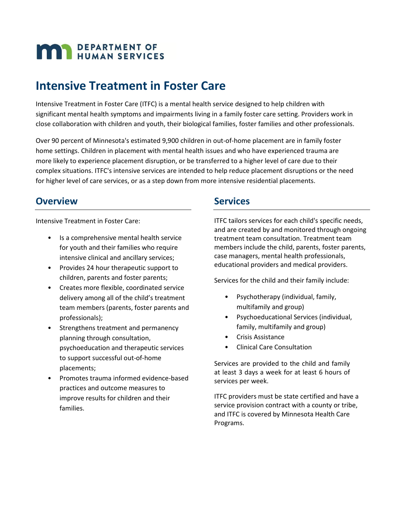# **MAN** DEPARTMENT OF

### **Intensive Treatment in Foster Care**

Intensive Treatment in Foster Care (ITFC) is a mental health service designed to help children with significant mental health symptoms and impairments living in a family foster care setting. Providers work in close collaboration with children and youth, their biological families, foster families and other professionals.

Over 90 percent of Minnesota's estimated 9,900 children in out-of-home placement are in family foster home settings. Children in placement with mental health issues and who have experienced trauma are more likely to experience placement disruption, or be transferred to a higher level of care due to their complex situations. ITFC's intensive services are intended to help reduce placement disruptions or the need for higher level of care services, or as a step down from more intensive residential placements.

#### **Overview**

Intensive Treatment in Foster Care:

- Is a comprehensive mental health service for youth and their families who require intensive clinical and ancillary services;
- Provides 24 hour therapeutic support to children, parents and foster parents;
- Creates more flexible, coordinated service delivery among all of the child's treatment team members (parents, foster parents and professionals);
- Strengthens treatment and permanency planning through consultation, psychoeducation and therapeutic services to support successful out-of-home placements;
- Promotes trauma informed evidence-based practices and outcome measures to improve results for children and their families.

#### **Services**

ITFC tailors services for each child's specific needs, and are created by and monitored through ongoing treatment team consultation. Treatment team members include the child, parents, foster parents, case managers, mental health professionals, educational providers and medical providers.

Services for the child and their family include:

- Psychotherapy (individual, family, multifamily and group)
- Psychoeducational Services (individual, family, multifamily and group)
- Crisis Assistance
- Clinical Care Consultation

Services are provided to the child and family at least 3 days a week for at least 6 hours of services per week.

ITFC providers must be state certified and have a service provision contract with a county or tribe, and ITFC is covered by Minnesota Health Care Programs.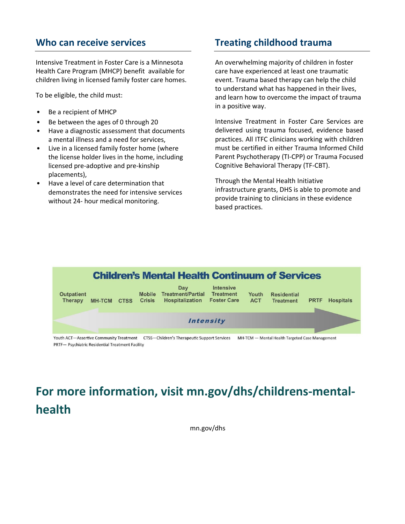#### **Who can receive services**

Intensive Treatment in Foster Care is a Minnesota Health Care Program (MHCP) benefit available for children living in licensed family foster care homes.

To be eligible, the child must:

- Be a recipient of MHCP
- Be between the ages of 0 through 20
- Have a diagnostic assessment that documents a mental illness and a need for services,
- Live in a licensed family foster home (where the license holder lives in the home, including licensed pre-adoptive and pre-kinship placements),
- Have a level of care determination that demonstrates the need for intensive services without 24- hour medical monitoring.

#### **Treating childhood trauma**

An overwhelming majority of children in foster care have experienced at least one traumatic event. Trauma based therapy can help the child to understand what has happened in their lives, and learn how to overcome the impact of trauma in a positive way.

Intensive Treatment in Foster Care Services are delivered using trauma focused, evidence based practices. All ITFC clinicians working with children must be certified in either Trauma Informed Child Parent Psychotherapy (TI-CPP) or Trauma Focused Cognitive Behavioral Therapy (TF-CBT).

Through the Mental Health Initiative infrastructure grants, DHS is able to promote and provide training to clinicians in these evidence based practices.



Youth ACT-Assertive Community Treatment CTSS-Children's Therapeutic Support Services MH-TCM - Mental Health Targeted Case Management PRTF- Psychiatric Residential Treatment Facility

## **For more information, visit mn.gov/dhs/childrens-mentalhealth**

mn.gov/dhs